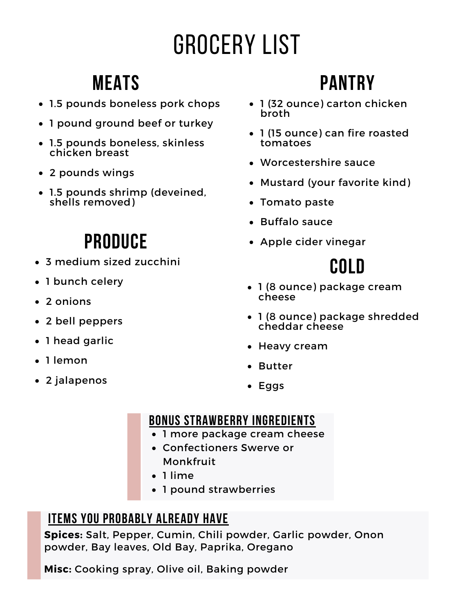# Grocery List

#### **Meats**

- 1.5 pounds boneless pork chops
- 1 pound ground beef or turkey
- 1.5 pounds boneless, skinless chicken breast
- 2 pounds wings
- 1.5 pounds shrimp (deveined, shells removed)

### **Produce**

- 3 medium sized zucchini
- 1 bunch celery
- 2 onions
- 2 bell peppers
- 1 head garlic
- 1 lemon
- 2 jalapenos

### **Pantry**

- 1 (32 ounce) carton chicken broth
- 1 (15 ounce) can fire roasted tomatoes
- Worcestershire sauce
- Mustard (your favorite kind)
- Tomato paste
- Buffalo sauce
- Apple cider vinegar

#### **Cold**

- 1 (8 ounce) package cream cheese
- 1 (8 ounce) package shredded cheddar cheese
- Heavy cream
- Butter
- Eggs

#### **Bonus strawberry ingredients**

- 1 more package cream cheese
- Confectioners Swerve or Monkfruit
- 1 lime
- 1 pound strawberries

#### **Items you probably already have**

**Spices:** Salt, Pepper, Cumin, Chili powder, Garlic powder, Onon powder, Bay leaves, Old Bay, Paprika, Oregano

**Misc:** Cooking spray, Olive oil, Baking powder